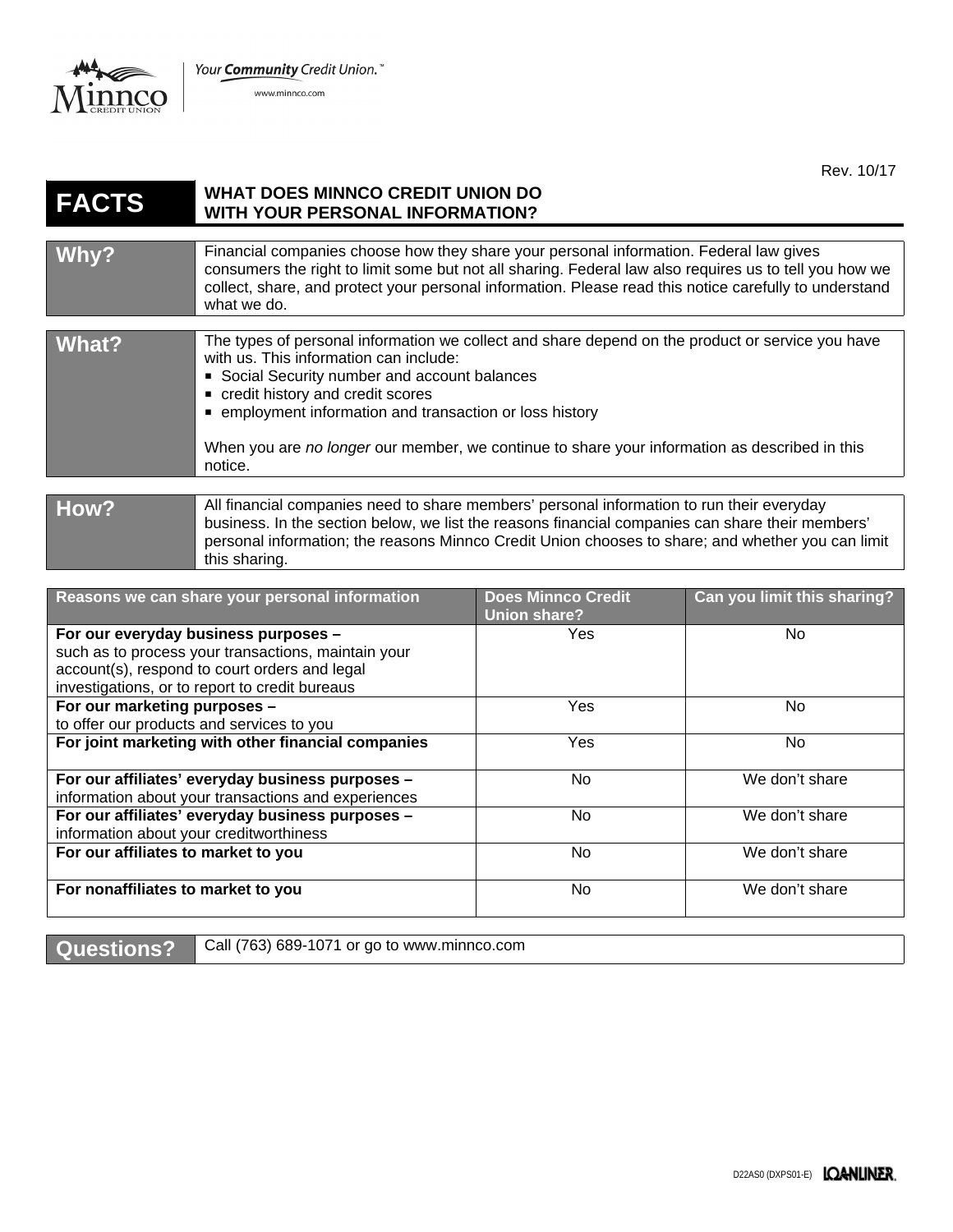Your Community Credit Union."



www.minnco.com

Rev. 10/17

## **FACTS WHAT DOES MINNCO CREDIT UNION DO WITH YOUR PERSONAL INFORMATION?**

| Why? | Financial companies choose how they share your personal information. Federal law gives<br>consumers the right to limit some but not all sharing. Federal law also requires us to tell you how we<br>collect, share, and protect your personal information. Please read this notice carefully to understand<br>what we do. |
|------|---------------------------------------------------------------------------------------------------------------------------------------------------------------------------------------------------------------------------------------------------------------------------------------------------------------------------|
|      |                                                                                                                                                                                                                                                                                                                           |

| What?          | The types of personal information we collect and share depend on the product or service you have<br>with us. This information can include:<br>• Social Security number and account balances<br>• credit history and credit scores<br>■ employment information and transaction or loss history<br>When you are no longer our member, we continue to share your information as described in this<br>notice. |
|----------------|-----------------------------------------------------------------------------------------------------------------------------------------------------------------------------------------------------------------------------------------------------------------------------------------------------------------------------------------------------------------------------------------------------------|
|                |                                                                                                                                                                                                                                                                                                                                                                                                           |
| $L_{\text{A}}$ | All financial companies need to share members' personal information to run their everyday                                                                                                                                                                                                                                                                                                                 |

## **How?** All financial companies need to share members' personal information to run their everyday business. In the section below, we list the reasons financial companies can share their members' personal information; the reasons Minnco Credit Union chooses to share; and whether you can limit this sharing.

| Reasons we can share your personal information                                                       | <b>Does Minnco Credit</b><br>Union share? | Can you limit this sharing? |
|------------------------------------------------------------------------------------------------------|-------------------------------------------|-----------------------------|
| For our everyday business purposes -                                                                 | Yes                                       | No.                         |
| such as to process your transactions, maintain your<br>account(s), respond to court orders and legal |                                           |                             |
| investigations, or to report to credit bureaus                                                       |                                           |                             |
| For our marketing purposes -                                                                         | Yes                                       | No.                         |
| to offer our products and services to you                                                            |                                           |                             |
| For joint marketing with other financial companies                                                   | Yes                                       | No.                         |
| For our affiliates' everyday business purposes -                                                     | No.                                       | We don't share              |
| information about your transactions and experiences                                                  |                                           |                             |
| For our affiliates' everyday business purposes -                                                     | No.                                       | We don't share              |
| information about your creditworthiness                                                              |                                           |                             |
| For our affiliates to market to you                                                                  | No.                                       | We don't share              |
| For nonaffiliates to market to you                                                                   | No.                                       | We don't share              |

Questions? Call (763) 689-1071 or go to www.minnco.com